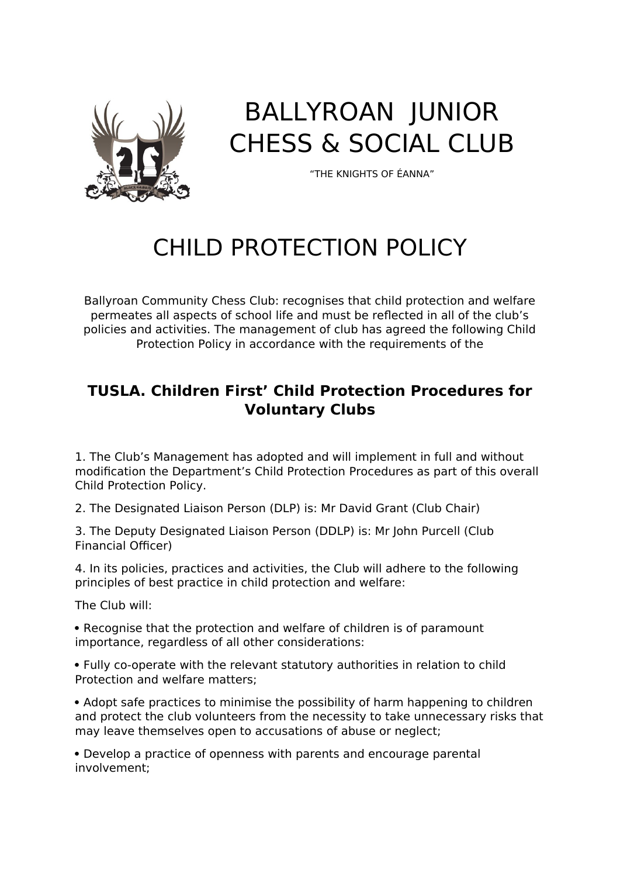

## BALLYROAN JUNIOR CHESS & SOCIAL CLUB

"THE KNIGHTS OF ÉANNA"

## CHILD PROTECTION POLICY

Ballyroan Community Chess Club: recognises that child protection and welfare permeates all aspects of school life and must be reflected in all of the club's policies and activities. The management of club has agreed the following Child Protection Policy in accordance with the requirements of the

## **TUSLA. Children First' Child Protection Procedures for Voluntary Clubs**

1. The Club's Management has adopted and will implement in full and without modification the Department's Child Protection Procedures as part of this overall Child Protection Policy.

2. The Designated Liaison Person (DLP) is: Mr David Grant (Club Chair)

3. The Deputy Designated Liaison Person (DDLP) is: Mr John Purcell (Club Financial Officer)

4. In its policies, practices and activities, the Club will adhere to the following principles of best practice in child protection and welfare:

The Club will:

• Recognise that the protection and welfare of children is of paramount importance, regardless of all other considerations:

 Fully co-operate with the relevant statutory authorities in relation to child Protection and welfare matters;

 Adopt safe practices to minimise the possibility of harm happening to children and protect the club volunteers from the necessity to take unnecessary risks that may leave themselves open to accusations of abuse or neglect;

 Develop a practice of openness with parents and encourage parental involvement;